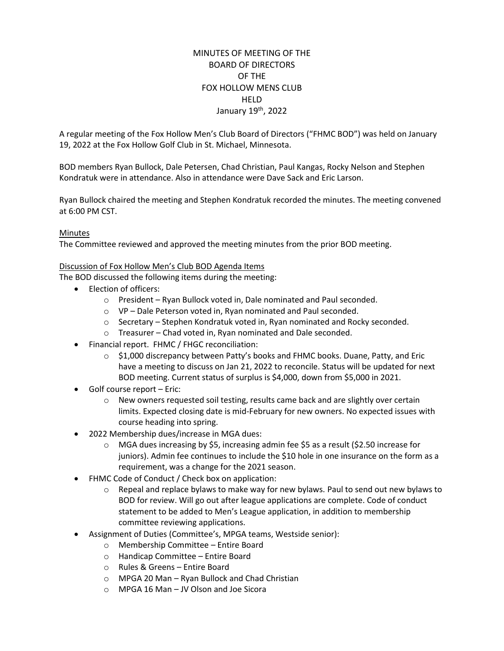# MINUTES OF MEETING OF THE BOARD OF DIRECTORS OF THE FOX HOLLOW MENS CLUB **HFID** January 19<sup>th</sup>, 2022

A regular meeting of the Fox Hollow Men's Club Board of Directors ("FHMC BOD") was held on January 19, 2022 at the Fox Hollow Golf Club in St. Michael, Minnesota.

BOD members Ryan Bullock, Dale Petersen, Chad Christian, Paul Kangas, Rocky Nelson and Stephen Kondratuk were in attendance. Also in attendance were Dave Sack and Eric Larson.

Ryan Bullock chaired the meeting and Stephen Kondratuk recorded the minutes. The meeting convened at 6:00 PM CST.

# Minutes

The Committee reviewed and approved the meeting minutes from the prior BOD meeting.

### Discussion of Fox Hollow Men's Club BOD Agenda Items

The BOD discussed the following items during the meeting:

- Election of officers:
	- o President Ryan Bullock voted in, Dale nominated and Paul seconded.
	- o VP Dale Peterson voted in, Ryan nominated and Paul seconded.
	- $\circ$  Secretary Stephen Kondratuk voted in, Ryan nominated and Rocky seconded.
	- o Treasurer Chad voted in, Ryan nominated and Dale seconded.
- Financial report. FHMC / FHGC reconciliation:
	- $\circ$  \$1,000 discrepancy between Patty's books and FHMC books. Duane, Patty, and Eric have a meeting to discuss on Jan 21, 2022 to reconcile. Status will be updated for next BOD meeting. Current status of surplus is \$4,000, down from \$5,000 in 2021.
- Golf course report Eric:
	- $\circ$  New owners requested soil testing, results came back and are slightly over certain limits. Expected closing date is mid-February for new owners. No expected issues with course heading into spring.
- 2022 Membership dues/increase in MGA dues:
	- $\circ$  MGA dues increasing by \$5, increasing admin fee \$5 as a result (\$2.50 increase for juniors). Admin fee continues to include the \$10 hole in one insurance on the form as a requirement, was a change for the 2021 season.
- FHMC Code of Conduct / Check box on application:
	- $\circ$  Repeal and replace bylaws to make way for new bylaws. Paul to send out new bylaws to BOD for review. Will go out after league applications are complete. Code of conduct statement to be added to Men's League application, in addition to membership committee reviewing applications.
- Assignment of Duties (Committee's, MPGA teams, Westside senior):
	- o Membership Committee Entire Board
	- o Handicap Committee Entire Board
	- o Rules & Greens Entire Board
	- o MPGA 20 Man Ryan Bullock and Chad Christian
	- o MPGA 16 Man JV Olson and Joe Sicora